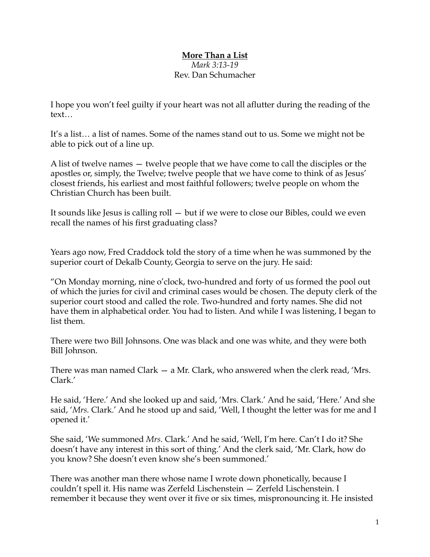## **More Than a List** *Mark 3:13-19* Rev. Dan Schumacher

I hope you won't feel guilty if your heart was not all aflutter during the reading of the text…

It's a list… a list of names. Some of the names stand out to us. Some we might not be able to pick out of a line up.

A list of twelve names — twelve people that we have come to call the disciples or the apostles or, simply, the Twelve; twelve people that we have come to think of as Jesus' closest friends, his earliest and most faithful followers; twelve people on whom the Christian Church has been built.

It sounds like Jesus is calling roll — but if we were to close our Bibles, could we even recall the names of his first graduating class?

Years ago now, Fred Craddock told the story of a time when he was summoned by the superior court of Dekalb County, Georgia to serve on the jury. He said:

"On Monday morning, nine o'clock, two-hundred and forty of us formed the pool out of which the juries for civil and criminal cases would be chosen. The deputy clerk of the superior court stood and called the role. Two-hundred and forty names. She did not have them in alphabetical order. You had to listen. And while I was listening, I began to list them.

There were two Bill Johnsons. One was black and one was white, and they were both Bill Johnson.

There was man named Clark — a Mr. Clark, who answered when the clerk read, 'Mrs. Clark.'

He said, 'Here.' And she looked up and said, 'Mrs. Clark.' And he said, 'Here.' And she said, '*Mrs*. Clark.' And he stood up and said, 'Well, I thought the letter was for me and I opened it.'

She said, 'We summoned *Mrs*. Clark.' And he said, 'Well, I'm here. Can't I do it? She doesn't have any interest in this sort of thing.' And the clerk said, 'Mr. Clark, how do you know? She doesn't even know she's been summoned.'

There was another man there whose name I wrote down phonetically, because I couldn't spell it. His name was Zerfeld Lischenstein — Zerfeld Lischenstein. I remember it because they went over it five or six times, mispronouncing it. He insisted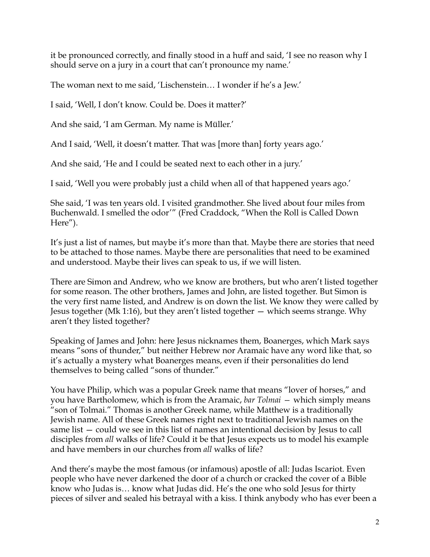it be pronounced correctly, and finally stood in a huff and said, 'I see no reason why I should serve on a jury in a court that can't pronounce my name.'

The woman next to me said, 'Lischenstein… I wonder if he's a Jew.'

I said, 'Well, I don't know. Could be. Does it matter?'

And she said, 'I am German. My name is Müller.'

And I said, 'Well, it doesn't matter. That was [more than] forty years ago.'

And she said, 'He and I could be seated next to each other in a jury.'

I said, 'Well you were probably just a child when all of that happened years ago.'

She said, 'I was ten years old. I visited grandmother. She lived about four miles from Buchenwald. I smelled the odor'" (Fred Craddock, "When the Roll is Called Down Here").

It's just a list of names, but maybe it's more than that. Maybe there are stories that need to be attached to those names. Maybe there are personalities that need to be examined and understood. Maybe their lives can speak to us, if we will listen.

There are Simon and Andrew, who we know are brothers, but who aren't listed together for some reason. The other brothers, James and John, are listed together. But Simon is the very first name listed, and Andrew is on down the list. We know they were called by Jesus together (Mk 1:16), but they aren't listed together — which seems strange. Why aren't they listed together?

Speaking of James and John: here Jesus nicknames them, Boanerges, which Mark says means "sons of thunder," but neither Hebrew nor Aramaic have any word like that, so it's actually a mystery what Boanerges means, even if their personalities do lend themselves to being called "sons of thunder."

You have Philip, which was a popular Greek name that means "lover of horses," and you have Bartholomew, which is from the Aramaic, *bar Tolmai —* which simply means "son of Tolmai." Thomas is another Greek name, while Matthew is a traditionally Jewish name. All of these Greek names right next to traditional Jewish names on the same list — could we see in this list of names an intentional decision by Jesus to call disciples from *all* walks of life? Could it be that Jesus expects us to model his example and have members in our churches from *all* walks of life?

And there's maybe the most famous (or infamous) apostle of all: Judas Iscariot. Even people who have never darkened the door of a church or cracked the cover of a Bible know who Judas is… know what Judas did. He's the one who sold Jesus for thirty pieces of silver and sealed his betrayal with a kiss. I think anybody who has ever been a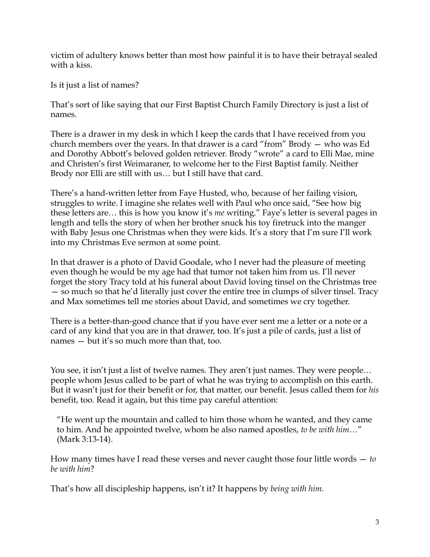victim of adultery knows better than most how painful it is to have their betrayal sealed with a kiss.

Is it just a list of names?

That's sort of like saying that our First Baptist Church Family Directory is just a list of names.

There is a drawer in my desk in which I keep the cards that I have received from you church members over the years. In that drawer is a card "from" Brody — who was Ed and Dorothy Abbott's beloved golden retriever. Brody "wrote" a card to Elli Mae, mine and Christen's first Weimaraner, to welcome her to the First Baptist family. Neither Brody nor Elli are still with us… but I still have that card.

There's a hand-written letter from Faye Husted, who, because of her failing vision, struggles to write. I imagine she relates well with Paul who once said, "See how big these letters are… this is how you know it's *me* writing." Faye's letter is several pages in length and tells the story of when her brother snuck his toy firetruck into the manger with Baby Jesus one Christmas when they were kids. It's a story that I'm sure I'll work into my Christmas Eve sermon at some point.

In that drawer is a photo of David Goodale, who I never had the pleasure of meeting even though he would be my age had that tumor not taken him from us. I'll never forget the story Tracy told at his funeral about David loving tinsel on the Christmas tree — so much so that he'd literally just cover the entire tree in clumps of silver tinsel. Tracy and Max sometimes tell me stories about David, and sometimes we cry together.

There is a better-than-good chance that if you have ever sent me a letter or a note or a card of any kind that you are in that drawer, too. It's just a pile of cards, just a list of names — but it's so much more than that, too.

You see, it isn't just a list of twelve names. They aren't just names. They were people… people whom Jesus called to be part of what he was trying to accomplish on this earth. But it wasn't just for their benefit or for, that matter, our benefit. Jesus called them for *his*  benefit, too. Read it again, but this time pay careful attention:

"He went up the mountain and called to him those whom he wanted, and they came to him. And he appointed twelve, whom he also named apostles, *to be with him…*" (Mark 3:13-14).

How many times have I read these verses and never caught those four little words — *to be with him*?

That's how all discipleship happens, isn't it? It happens by *being with him.*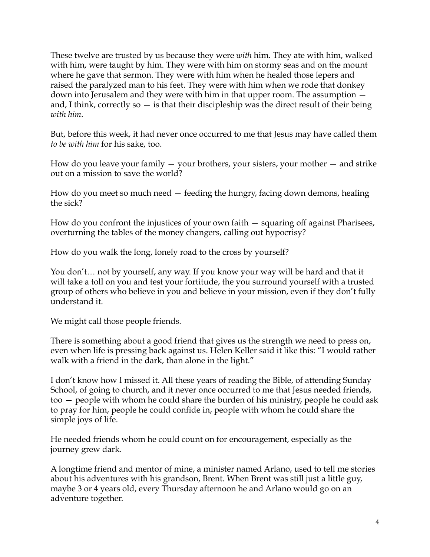These twelve are trusted by us because they were *with* him. They ate with him, walked with him, were taught by him. They were with him on stormy seas and on the mount where he gave that sermon. They were with him when he healed those lepers and raised the paralyzed man to his feet. They were with him when we rode that donkey down into Jerusalem and they were with him in that upper room. The assumption and, I think, correctly so  $-$  is that their discipleship was the direct result of their being *with him*.

But, before this week, it had never once occurred to me that Jesus may have called them *to be with him* for his sake, too.

How do you leave your family  $-$  your brothers, your sisters, your mother  $-$  and strike out on a mission to save the world?

How do you meet so much need — feeding the hungry, facing down demons, healing the sick?

How do you confront the injustices of your own faith — squaring off against Pharisees, overturning the tables of the money changers, calling out hypocrisy?

How do you walk the long, lonely road to the cross by yourself?

You don't… not by yourself, any way. If you know your way will be hard and that it will take a toll on you and test your fortitude, the you surround yourself with a trusted group of others who believe in you and believe in your mission, even if they don't fully understand it.

We might call those people friends.

There is something about a good friend that gives us the strength we need to press on, even when life is pressing back against us. Helen Keller said it like this: "I would rather walk with a friend in the dark, than alone in the light."

I don't know how I missed it. All these years of reading the Bible, of attending Sunday School, of going to church, and it never once occurred to me that Jesus needed friends, too — people with whom he could share the burden of his ministry, people he could ask to pray for him, people he could confide in, people with whom he could share the simple joys of life.

He needed friends whom he could count on for encouragement, especially as the journey grew dark.

A longtime friend and mentor of mine, a minister named Arlano, used to tell me stories about his adventures with his grandson, Brent. When Brent was still just a little guy, maybe 3 or 4 years old, every Thursday afternoon he and Arlano would go on an adventure together.